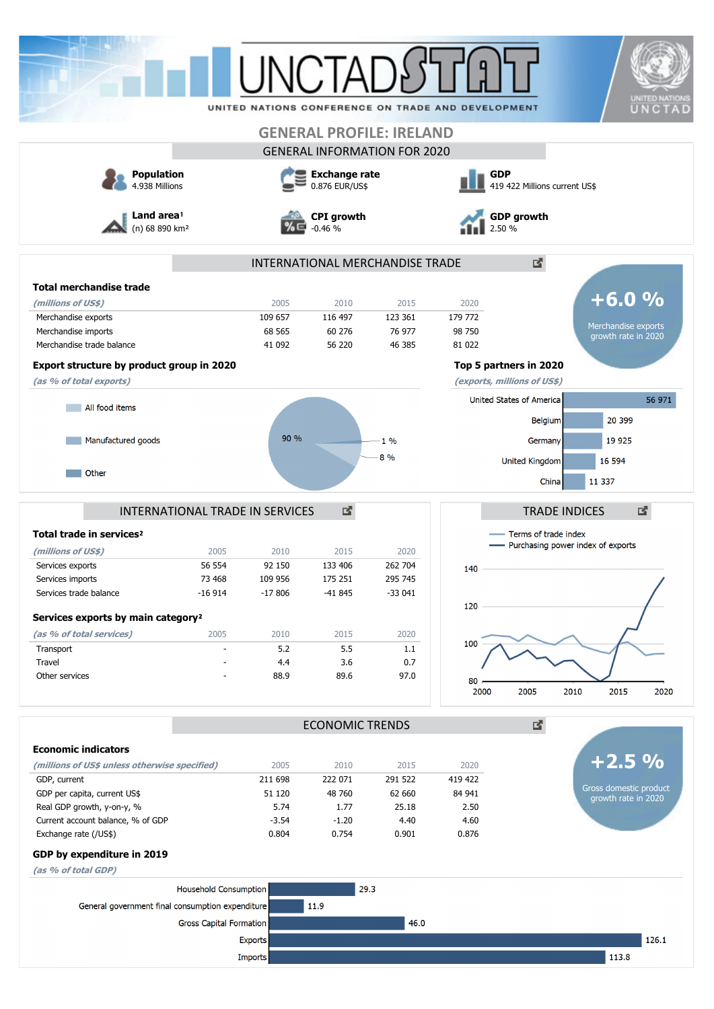| UNITED NATIONS CONFERENCE ON TRADE AND DEVELOPMENT<br><b>GENERAL PROFILE: IRELAND</b><br><b>GENERAL INFORMATION FOR 2020</b><br><b>Population</b><br><b>Exchange rate</b><br><b>GDP</b><br>4.938 Millions<br>0.876 EUR/US\$<br>419 422 Millions current US\$<br>Land area <sup>1</sup><br><b>GDP growth</b><br><b>CPI</b> growth<br>(n) 68 890 km <sup>2</sup><br>$-0.46%$<br>2.50 %<br>2<br>INTERNATIONAL MERCHANDISE TRADE<br><b>Total merchandise trade</b><br>$+6.0%$<br>2005<br>2010<br>2015<br>2020<br>(millions of US\$)<br>179 772<br>Merchandise exports<br>109 657<br>116 497<br>123 361<br>68 565<br>60 276<br>76 977<br>98 750<br>growth rate in 2020<br>56 220<br>Merchandise trade balance<br>41 092<br>46 385<br>81 022<br>Export structure by product group in 2020<br>Top 5 partners in 2020<br>(as % of total exports)<br>(exports, millions of US\$)<br>United States of America<br>56 971<br>All food items<br>20 399<br>Belgium<br>90 %<br>19 9 25<br>Manufactured goods<br>1%<br>Germany<br>8 %<br>United Kingdom<br>16 594<br>Other<br>11 3 37<br>China<br>國<br>國<br>INTERNATIONAL TRADE IN SERVICES<br><b>TRADE INDICES</b><br>Terms of trade index<br>- Purchasing power index of exports<br>(millions of US\$)<br>2005<br>2015<br>2010<br>2020<br>262 704<br>Services exports<br>56 554<br>92 150<br>133 406<br>140<br>Services imports<br>73 468<br>109 956<br>295 745<br>175 251<br>Services trade balance<br>$-16914$<br>$-17806$<br>$-41845$<br>$-33041$<br>120<br>Services exports by main category <sup>2</sup><br>(as % of total services)<br>2005<br>2010<br>2015<br>2020<br>100<br>5.2<br>5.5<br>Transport<br>1.1<br>4.4<br>0.7<br>Travel<br>3.6<br>Other services<br>88.9<br>97.0<br>89.6<br>80<br>2000<br>2005<br>2010<br>2015<br>國<br><b>ECONOMIC TRENDS</b><br><b>Economic indicators</b><br>(millions of US\$ unless otherwise specified)<br>2005<br>2010<br>2015<br>2020<br>419 422<br>GDP, current<br>211 698<br>222 071<br>291 522<br>Gross domestic product<br>GDP per capita, current US\$<br>48 760<br>62 660<br>84 941<br>51 120<br>growth rate in 2020<br>Real GDP growth, y-on-y, %<br>5.74<br>1.77<br>25.18<br>2.50<br>Current account balance, % of GDP<br>$-3.54$<br>$-1.20$<br>4.60<br>4.40<br>Exchange rate (/US\$)<br>0.804<br>0.754<br>0.901<br>0.876<br>GDP by expenditure in 2019<br>(as % of total GDP)<br>29.3<br><b>Household Consumption</b><br>11.9<br>General government final consumption expenditure<br><b>Gross Capital Formation</b><br>46.0<br>126.1<br><b>Exports</b> |                                      |  |  |                       |
|---------------------------------------------------------------------------------------------------------------------------------------------------------------------------------------------------------------------------------------------------------------------------------------------------------------------------------------------------------------------------------------------------------------------------------------------------------------------------------------------------------------------------------------------------------------------------------------------------------------------------------------------------------------------------------------------------------------------------------------------------------------------------------------------------------------------------------------------------------------------------------------------------------------------------------------------------------------------------------------------------------------------------------------------------------------------------------------------------------------------------------------------------------------------------------------------------------------------------------------------------------------------------------------------------------------------------------------------------------------------------------------------------------------------------------------------------------------------------------------------------------------------------------------------------------------------------------------------------------------------------------------------------------------------------------------------------------------------------------------------------------------------------------------------------------------------------------------------------------------------------------------------------------------------------------------------------------------------------------------------------------------------------------------------------------------------------------------------------------------------------------------------------------------------------------------------------------------------------------------------------------------------------------------------------------------------------------------------------------------------------------------------------------------------------------------------------------------------------------------------------------------------------------------------|--------------------------------------|--|--|-----------------------|
|                                                                                                                                                                                                                                                                                                                                                                                                                                                                                                                                                                                                                                                                                                                                                                                                                                                                                                                                                                                                                                                                                                                                                                                                                                                                                                                                                                                                                                                                                                                                                                                                                                                                                                                                                                                                                                                                                                                                                                                                                                                                                                                                                                                                                                                                                                                                                                                                                                                                                                                                             |                                      |  |  | <b>UNITED NATIONS</b> |
|                                                                                                                                                                                                                                                                                                                                                                                                                                                                                                                                                                                                                                                                                                                                                                                                                                                                                                                                                                                                                                                                                                                                                                                                                                                                                                                                                                                                                                                                                                                                                                                                                                                                                                                                                                                                                                                                                                                                                                                                                                                                                                                                                                                                                                                                                                                                                                                                                                                                                                                                             |                                      |  |  | UNCTAD                |
|                                                                                                                                                                                                                                                                                                                                                                                                                                                                                                                                                                                                                                                                                                                                                                                                                                                                                                                                                                                                                                                                                                                                                                                                                                                                                                                                                                                                                                                                                                                                                                                                                                                                                                                                                                                                                                                                                                                                                                                                                                                                                                                                                                                                                                                                                                                                                                                                                                                                                                                                             |                                      |  |  |                       |
|                                                                                                                                                                                                                                                                                                                                                                                                                                                                                                                                                                                                                                                                                                                                                                                                                                                                                                                                                                                                                                                                                                                                                                                                                                                                                                                                                                                                                                                                                                                                                                                                                                                                                                                                                                                                                                                                                                                                                                                                                                                                                                                                                                                                                                                                                                                                                                                                                                                                                                                                             |                                      |  |  |                       |
|                                                                                                                                                                                                                                                                                                                                                                                                                                                                                                                                                                                                                                                                                                                                                                                                                                                                                                                                                                                                                                                                                                                                                                                                                                                                                                                                                                                                                                                                                                                                                                                                                                                                                                                                                                                                                                                                                                                                                                                                                                                                                                                                                                                                                                                                                                                                                                                                                                                                                                                                             |                                      |  |  |                       |
|                                                                                                                                                                                                                                                                                                                                                                                                                                                                                                                                                                                                                                                                                                                                                                                                                                                                                                                                                                                                                                                                                                                                                                                                                                                                                                                                                                                                                                                                                                                                                                                                                                                                                                                                                                                                                                                                                                                                                                                                                                                                                                                                                                                                                                                                                                                                                                                                                                                                                                                                             |                                      |  |  |                       |
|                                                                                                                                                                                                                                                                                                                                                                                                                                                                                                                                                                                                                                                                                                                                                                                                                                                                                                                                                                                                                                                                                                                                                                                                                                                                                                                                                                                                                                                                                                                                                                                                                                                                                                                                                                                                                                                                                                                                                                                                                                                                                                                                                                                                                                                                                                                                                                                                                                                                                                                                             |                                      |  |  |                       |
|                                                                                                                                                                                                                                                                                                                                                                                                                                                                                                                                                                                                                                                                                                                                                                                                                                                                                                                                                                                                                                                                                                                                                                                                                                                                                                                                                                                                                                                                                                                                                                                                                                                                                                                                                                                                                                                                                                                                                                                                                                                                                                                                                                                                                                                                                                                                                                                                                                                                                                                                             |                                      |  |  |                       |
|                                                                                                                                                                                                                                                                                                                                                                                                                                                                                                                                                                                                                                                                                                                                                                                                                                                                                                                                                                                                                                                                                                                                                                                                                                                                                                                                                                                                                                                                                                                                                                                                                                                                                                                                                                                                                                                                                                                                                                                                                                                                                                                                                                                                                                                                                                                                                                                                                                                                                                                                             |                                      |  |  |                       |
|                                                                                                                                                                                                                                                                                                                                                                                                                                                                                                                                                                                                                                                                                                                                                                                                                                                                                                                                                                                                                                                                                                                                                                                                                                                                                                                                                                                                                                                                                                                                                                                                                                                                                                                                                                                                                                                                                                                                                                                                                                                                                                                                                                                                                                                                                                                                                                                                                                                                                                                                             |                                      |  |  |                       |
|                                                                                                                                                                                                                                                                                                                                                                                                                                                                                                                                                                                                                                                                                                                                                                                                                                                                                                                                                                                                                                                                                                                                                                                                                                                                                                                                                                                                                                                                                                                                                                                                                                                                                                                                                                                                                                                                                                                                                                                                                                                                                                                                                                                                                                                                                                                                                                                                                                                                                                                                             |                                      |  |  |                       |
|                                                                                                                                                                                                                                                                                                                                                                                                                                                                                                                                                                                                                                                                                                                                                                                                                                                                                                                                                                                                                                                                                                                                                                                                                                                                                                                                                                                                                                                                                                                                                                                                                                                                                                                                                                                                                                                                                                                                                                                                                                                                                                                                                                                                                                                                                                                                                                                                                                                                                                                                             | Merchandise imports                  |  |  | Merchandise exports   |
|                                                                                                                                                                                                                                                                                                                                                                                                                                                                                                                                                                                                                                                                                                                                                                                                                                                                                                                                                                                                                                                                                                                                                                                                                                                                                                                                                                                                                                                                                                                                                                                                                                                                                                                                                                                                                                                                                                                                                                                                                                                                                                                                                                                                                                                                                                                                                                                                                                                                                                                                             |                                      |  |  |                       |
|                                                                                                                                                                                                                                                                                                                                                                                                                                                                                                                                                                                                                                                                                                                                                                                                                                                                                                                                                                                                                                                                                                                                                                                                                                                                                                                                                                                                                                                                                                                                                                                                                                                                                                                                                                                                                                                                                                                                                                                                                                                                                                                                                                                                                                                                                                                                                                                                                                                                                                                                             |                                      |  |  |                       |
|                                                                                                                                                                                                                                                                                                                                                                                                                                                                                                                                                                                                                                                                                                                                                                                                                                                                                                                                                                                                                                                                                                                                                                                                                                                                                                                                                                                                                                                                                                                                                                                                                                                                                                                                                                                                                                                                                                                                                                                                                                                                                                                                                                                                                                                                                                                                                                                                                                                                                                                                             |                                      |  |  |                       |
|                                                                                                                                                                                                                                                                                                                                                                                                                                                                                                                                                                                                                                                                                                                                                                                                                                                                                                                                                                                                                                                                                                                                                                                                                                                                                                                                                                                                                                                                                                                                                                                                                                                                                                                                                                                                                                                                                                                                                                                                                                                                                                                                                                                                                                                                                                                                                                                                                                                                                                                                             |                                      |  |  |                       |
|                                                                                                                                                                                                                                                                                                                                                                                                                                                                                                                                                                                                                                                                                                                                                                                                                                                                                                                                                                                                                                                                                                                                                                                                                                                                                                                                                                                                                                                                                                                                                                                                                                                                                                                                                                                                                                                                                                                                                                                                                                                                                                                                                                                                                                                                                                                                                                                                                                                                                                                                             |                                      |  |  |                       |
|                                                                                                                                                                                                                                                                                                                                                                                                                                                                                                                                                                                                                                                                                                                                                                                                                                                                                                                                                                                                                                                                                                                                                                                                                                                                                                                                                                                                                                                                                                                                                                                                                                                                                                                                                                                                                                                                                                                                                                                                                                                                                                                                                                                                                                                                                                                                                                                                                                                                                                                                             |                                      |  |  |                       |
|                                                                                                                                                                                                                                                                                                                                                                                                                                                                                                                                                                                                                                                                                                                                                                                                                                                                                                                                                                                                                                                                                                                                                                                                                                                                                                                                                                                                                                                                                                                                                                                                                                                                                                                                                                                                                                                                                                                                                                                                                                                                                                                                                                                                                                                                                                                                                                                                                                                                                                                                             |                                      |  |  |                       |
|                                                                                                                                                                                                                                                                                                                                                                                                                                                                                                                                                                                                                                                                                                                                                                                                                                                                                                                                                                                                                                                                                                                                                                                                                                                                                                                                                                                                                                                                                                                                                                                                                                                                                                                                                                                                                                                                                                                                                                                                                                                                                                                                                                                                                                                                                                                                                                                                                                                                                                                                             |                                      |  |  |                       |
|                                                                                                                                                                                                                                                                                                                                                                                                                                                                                                                                                                                                                                                                                                                                                                                                                                                                                                                                                                                                                                                                                                                                                                                                                                                                                                                                                                                                                                                                                                                                                                                                                                                                                                                                                                                                                                                                                                                                                                                                                                                                                                                                                                                                                                                                                                                                                                                                                                                                                                                                             |                                      |  |  |                       |
|                                                                                                                                                                                                                                                                                                                                                                                                                                                                                                                                                                                                                                                                                                                                                                                                                                                                                                                                                                                                                                                                                                                                                                                                                                                                                                                                                                                                                                                                                                                                                                                                                                                                                                                                                                                                                                                                                                                                                                                                                                                                                                                                                                                                                                                                                                                                                                                                                                                                                                                                             |                                      |  |  |                       |
|                                                                                                                                                                                                                                                                                                                                                                                                                                                                                                                                                                                                                                                                                                                                                                                                                                                                                                                                                                                                                                                                                                                                                                                                                                                                                                                                                                                                                                                                                                                                                                                                                                                                                                                                                                                                                                                                                                                                                                                                                                                                                                                                                                                                                                                                                                                                                                                                                                                                                                                                             | Total trade in services <sup>2</sup> |  |  |                       |
|                                                                                                                                                                                                                                                                                                                                                                                                                                                                                                                                                                                                                                                                                                                                                                                                                                                                                                                                                                                                                                                                                                                                                                                                                                                                                                                                                                                                                                                                                                                                                                                                                                                                                                                                                                                                                                                                                                                                                                                                                                                                                                                                                                                                                                                                                                                                                                                                                                                                                                                                             |                                      |  |  |                       |
|                                                                                                                                                                                                                                                                                                                                                                                                                                                                                                                                                                                                                                                                                                                                                                                                                                                                                                                                                                                                                                                                                                                                                                                                                                                                                                                                                                                                                                                                                                                                                                                                                                                                                                                                                                                                                                                                                                                                                                                                                                                                                                                                                                                                                                                                                                                                                                                                                                                                                                                                             |                                      |  |  |                       |
|                                                                                                                                                                                                                                                                                                                                                                                                                                                                                                                                                                                                                                                                                                                                                                                                                                                                                                                                                                                                                                                                                                                                                                                                                                                                                                                                                                                                                                                                                                                                                                                                                                                                                                                                                                                                                                                                                                                                                                                                                                                                                                                                                                                                                                                                                                                                                                                                                                                                                                                                             |                                      |  |  |                       |
|                                                                                                                                                                                                                                                                                                                                                                                                                                                                                                                                                                                                                                                                                                                                                                                                                                                                                                                                                                                                                                                                                                                                                                                                                                                                                                                                                                                                                                                                                                                                                                                                                                                                                                                                                                                                                                                                                                                                                                                                                                                                                                                                                                                                                                                                                                                                                                                                                                                                                                                                             |                                      |  |  |                       |
|                                                                                                                                                                                                                                                                                                                                                                                                                                                                                                                                                                                                                                                                                                                                                                                                                                                                                                                                                                                                                                                                                                                                                                                                                                                                                                                                                                                                                                                                                                                                                                                                                                                                                                                                                                                                                                                                                                                                                                                                                                                                                                                                                                                                                                                                                                                                                                                                                                                                                                                                             |                                      |  |  |                       |
|                                                                                                                                                                                                                                                                                                                                                                                                                                                                                                                                                                                                                                                                                                                                                                                                                                                                                                                                                                                                                                                                                                                                                                                                                                                                                                                                                                                                                                                                                                                                                                                                                                                                                                                                                                                                                                                                                                                                                                                                                                                                                                                                                                                                                                                                                                                                                                                                                                                                                                                                             |                                      |  |  |                       |
|                                                                                                                                                                                                                                                                                                                                                                                                                                                                                                                                                                                                                                                                                                                                                                                                                                                                                                                                                                                                                                                                                                                                                                                                                                                                                                                                                                                                                                                                                                                                                                                                                                                                                                                                                                                                                                                                                                                                                                                                                                                                                                                                                                                                                                                                                                                                                                                                                                                                                                                                             |                                      |  |  |                       |
|                                                                                                                                                                                                                                                                                                                                                                                                                                                                                                                                                                                                                                                                                                                                                                                                                                                                                                                                                                                                                                                                                                                                                                                                                                                                                                                                                                                                                                                                                                                                                                                                                                                                                                                                                                                                                                                                                                                                                                                                                                                                                                                                                                                                                                                                                                                                                                                                                                                                                                                                             |                                      |  |  |                       |
|                                                                                                                                                                                                                                                                                                                                                                                                                                                                                                                                                                                                                                                                                                                                                                                                                                                                                                                                                                                                                                                                                                                                                                                                                                                                                                                                                                                                                                                                                                                                                                                                                                                                                                                                                                                                                                                                                                                                                                                                                                                                                                                                                                                                                                                                                                                                                                                                                                                                                                                                             |                                      |  |  | 2020                  |
|                                                                                                                                                                                                                                                                                                                                                                                                                                                                                                                                                                                                                                                                                                                                                                                                                                                                                                                                                                                                                                                                                                                                                                                                                                                                                                                                                                                                                                                                                                                                                                                                                                                                                                                                                                                                                                                                                                                                                                                                                                                                                                                                                                                                                                                                                                                                                                                                                                                                                                                                             |                                      |  |  |                       |
|                                                                                                                                                                                                                                                                                                                                                                                                                                                                                                                                                                                                                                                                                                                                                                                                                                                                                                                                                                                                                                                                                                                                                                                                                                                                                                                                                                                                                                                                                                                                                                                                                                                                                                                                                                                                                                                                                                                                                                                                                                                                                                                                                                                                                                                                                                                                                                                                                                                                                                                                             |                                      |  |  |                       |
|                                                                                                                                                                                                                                                                                                                                                                                                                                                                                                                                                                                                                                                                                                                                                                                                                                                                                                                                                                                                                                                                                                                                                                                                                                                                                                                                                                                                                                                                                                                                                                                                                                                                                                                                                                                                                                                                                                                                                                                                                                                                                                                                                                                                                                                                                                                                                                                                                                                                                                                                             |                                      |  |  | $+2.5\%$              |
|                                                                                                                                                                                                                                                                                                                                                                                                                                                                                                                                                                                                                                                                                                                                                                                                                                                                                                                                                                                                                                                                                                                                                                                                                                                                                                                                                                                                                                                                                                                                                                                                                                                                                                                                                                                                                                                                                                                                                                                                                                                                                                                                                                                                                                                                                                                                                                                                                                                                                                                                             |                                      |  |  |                       |
|                                                                                                                                                                                                                                                                                                                                                                                                                                                                                                                                                                                                                                                                                                                                                                                                                                                                                                                                                                                                                                                                                                                                                                                                                                                                                                                                                                                                                                                                                                                                                                                                                                                                                                                                                                                                                                                                                                                                                                                                                                                                                                                                                                                                                                                                                                                                                                                                                                                                                                                                             |                                      |  |  |                       |
|                                                                                                                                                                                                                                                                                                                                                                                                                                                                                                                                                                                                                                                                                                                                                                                                                                                                                                                                                                                                                                                                                                                                                                                                                                                                                                                                                                                                                                                                                                                                                                                                                                                                                                                                                                                                                                                                                                                                                                                                                                                                                                                                                                                                                                                                                                                                                                                                                                                                                                                                             |                                      |  |  |                       |
|                                                                                                                                                                                                                                                                                                                                                                                                                                                                                                                                                                                                                                                                                                                                                                                                                                                                                                                                                                                                                                                                                                                                                                                                                                                                                                                                                                                                                                                                                                                                                                                                                                                                                                                                                                                                                                                                                                                                                                                                                                                                                                                                                                                                                                                                                                                                                                                                                                                                                                                                             |                                      |  |  |                       |
|                                                                                                                                                                                                                                                                                                                                                                                                                                                                                                                                                                                                                                                                                                                                                                                                                                                                                                                                                                                                                                                                                                                                                                                                                                                                                                                                                                                                                                                                                                                                                                                                                                                                                                                                                                                                                                                                                                                                                                                                                                                                                                                                                                                                                                                                                                                                                                                                                                                                                                                                             |                                      |  |  |                       |
|                                                                                                                                                                                                                                                                                                                                                                                                                                                                                                                                                                                                                                                                                                                                                                                                                                                                                                                                                                                                                                                                                                                                                                                                                                                                                                                                                                                                                                                                                                                                                                                                                                                                                                                                                                                                                                                                                                                                                                                                                                                                                                                                                                                                                                                                                                                                                                                                                                                                                                                                             |                                      |  |  |                       |
|                                                                                                                                                                                                                                                                                                                                                                                                                                                                                                                                                                                                                                                                                                                                                                                                                                                                                                                                                                                                                                                                                                                                                                                                                                                                                                                                                                                                                                                                                                                                                                                                                                                                                                                                                                                                                                                                                                                                                                                                                                                                                                                                                                                                                                                                                                                                                                                                                                                                                                                                             |                                      |  |  |                       |
|                                                                                                                                                                                                                                                                                                                                                                                                                                                                                                                                                                                                                                                                                                                                                                                                                                                                                                                                                                                                                                                                                                                                                                                                                                                                                                                                                                                                                                                                                                                                                                                                                                                                                                                                                                                                                                                                                                                                                                                                                                                                                                                                                                                                                                                                                                                                                                                                                                                                                                                                             |                                      |  |  |                       |
|                                                                                                                                                                                                                                                                                                                                                                                                                                                                                                                                                                                                                                                                                                                                                                                                                                                                                                                                                                                                                                                                                                                                                                                                                                                                                                                                                                                                                                                                                                                                                                                                                                                                                                                                                                                                                                                                                                                                                                                                                                                                                                                                                                                                                                                                                                                                                                                                                                                                                                                                             |                                      |  |  |                       |
|                                                                                                                                                                                                                                                                                                                                                                                                                                                                                                                                                                                                                                                                                                                                                                                                                                                                                                                                                                                                                                                                                                                                                                                                                                                                                                                                                                                                                                                                                                                                                                                                                                                                                                                                                                                                                                                                                                                                                                                                                                                                                                                                                                                                                                                                                                                                                                                                                                                                                                                                             |                                      |  |  |                       |
| 113.8<br>Imports                                                                                                                                                                                                                                                                                                                                                                                                                                                                                                                                                                                                                                                                                                                                                                                                                                                                                                                                                                                                                                                                                                                                                                                                                                                                                                                                                                                                                                                                                                                                                                                                                                                                                                                                                                                                                                                                                                                                                                                                                                                                                                                                                                                                                                                                                                                                                                                                                                                                                                                            |                                      |  |  |                       |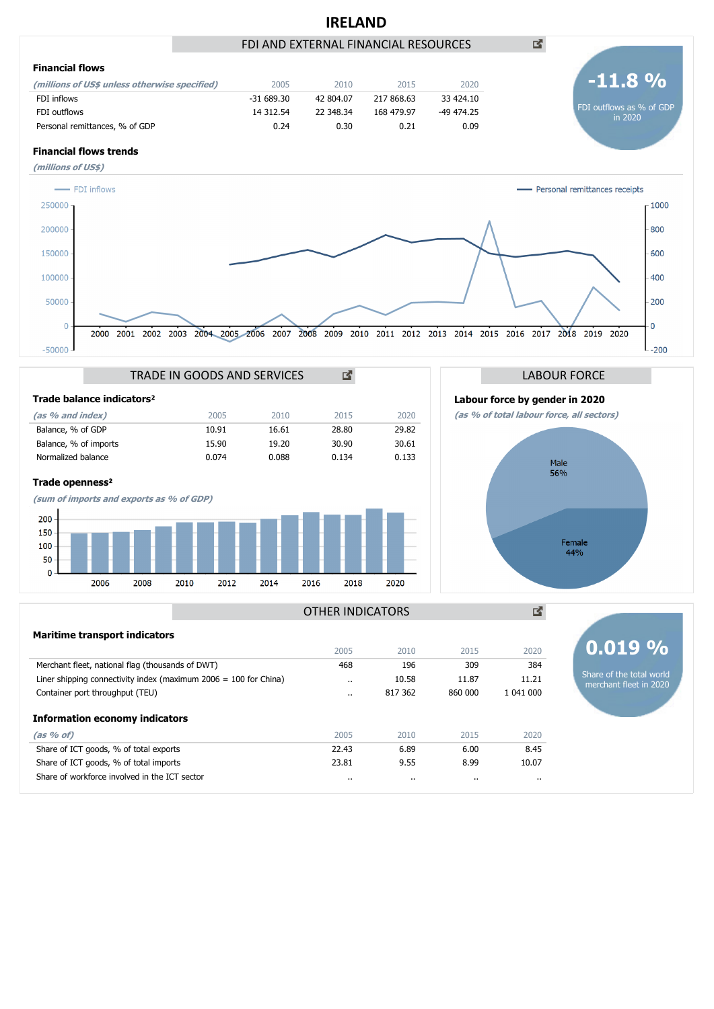# **IRELAND**





## **Financial flows trends**













國

凶



**0.019 %**

Share of the total world merchant fleet in 2020

## OTHER INDICATORS

| <b>Maritime transport indicators</b>                               |                      |         |           |           |
|--------------------------------------------------------------------|----------------------|---------|-----------|-----------|
|                                                                    | 2005                 | 2010    | 2015      | 2020      |
| Merchant fleet, national flag (thousands of DWT)                   | 468                  | 196     | 309       | 384       |
| Liner shipping connectivity index (maximum $2006 = 100$ for China) | $\ddot{\phantom{a}}$ | 10.58   | 11.87     | 11.21     |
| Container port throughput (TEU)                                    |                      | 817 362 | 860 000   | 1 041 000 |
| <b>Information economy indicators</b>                              |                      |         |           |           |
| (as 96 of)                                                         | 2005                 | 2010    | 2015      | 2020      |
| Share of ICT goods, % of total exports                             | 22.43                | 6.89    | 6.00      | 8.45      |
| Share of ICT goods, % of total imports                             | 23.81                | 9.55    | 8.99      | 10.07     |
| Share of workforce involved in the ICT sector                      | $\cdots$             |         | $\cdot$ . | $\cdot$   |
|                                                                    |                      |         |           |           |